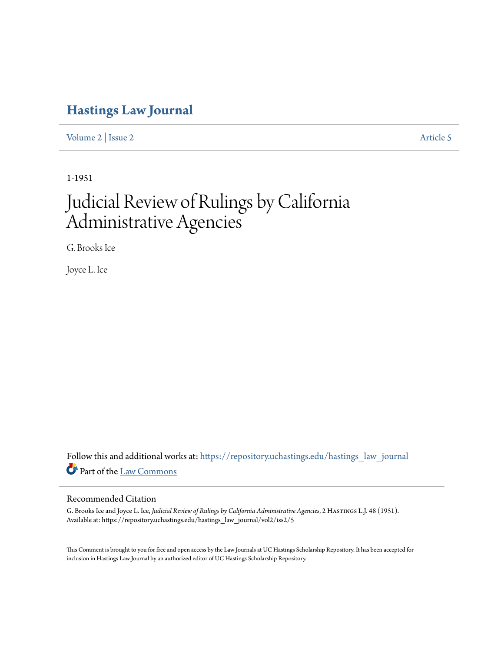## **[Hastings Law Journal](https://repository.uchastings.edu/hastings_law_journal?utm_source=repository.uchastings.edu%2Fhastings_law_journal%2Fvol2%2Fiss2%2F5&utm_medium=PDF&utm_campaign=PDFCoverPages)**

[Volume 2](https://repository.uchastings.edu/hastings_law_journal/vol2?utm_source=repository.uchastings.edu%2Fhastings_law_journal%2Fvol2%2Fiss2%2F5&utm_medium=PDF&utm_campaign=PDFCoverPages) | [Issue 2](https://repository.uchastings.edu/hastings_law_journal/vol2/iss2?utm_source=repository.uchastings.edu%2Fhastings_law_journal%2Fvol2%2Fiss2%2F5&utm_medium=PDF&utm_campaign=PDFCoverPages) [Article 5](https://repository.uchastings.edu/hastings_law_journal/vol2/iss2/5?utm_source=repository.uchastings.edu%2Fhastings_law_journal%2Fvol2%2Fiss2%2F5&utm_medium=PDF&utm_campaign=PDFCoverPages)

1-1951

## Judicial Review of Rulings by California Administrative Agencies

G. Brooks Ice

Joyce L. Ice

Follow this and additional works at: [https://repository.uchastings.edu/hastings\\_law\\_journal](https://repository.uchastings.edu/hastings_law_journal?utm_source=repository.uchastings.edu%2Fhastings_law_journal%2Fvol2%2Fiss2%2F5&utm_medium=PDF&utm_campaign=PDFCoverPages) Part of the [Law Commons](http://network.bepress.com/hgg/discipline/578?utm_source=repository.uchastings.edu%2Fhastings_law_journal%2Fvol2%2Fiss2%2F5&utm_medium=PDF&utm_campaign=PDFCoverPages)

## Recommended Citation

G. Brooks Ice and Joyce L. Ice, *Judicial Review of Rulings by California Administrative Agencies*, 2 Hastings L.J. 48 (1951). Available at: https://repository.uchastings.edu/hastings\_law\_journal/vol2/iss2/5

This Comment is brought to you for free and open access by the Law Journals at UC Hastings Scholarship Repository. It has been accepted for inclusion in Hastings Law Journal by an authorized editor of UC Hastings Scholarship Repository.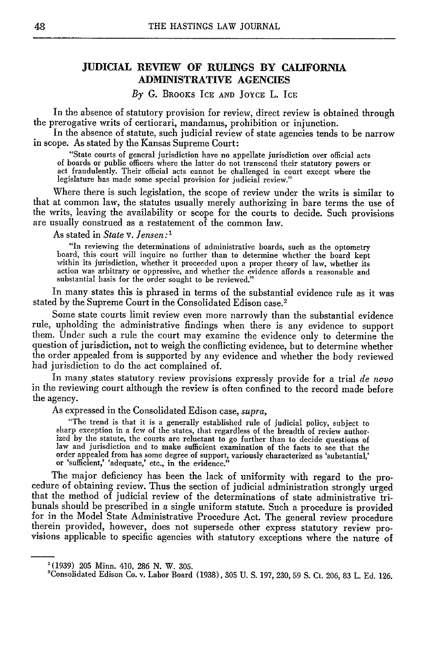## **JUDICIAL REVIEW OF RULINGS BY CALIFORNIA ADMINISTRATIVE AGENCIES**

*By G.* BROOKS ICE **AND JOYCE L.** ICE

In the absence of statutory provision for review, direct review is obtained through<br>the prerogative writs of certiorari, mandamus, prohibition or injunction.<br>In the absence of statute, such judicial review of state agencie

in scope. As stated by the Kansas Supreme Court:

"State courts of general jurisdiction have no appellate jurisdiction over official acts act fraudulently. Their official acts cannot be challenged in court except where the legislature has made some special provision for judicial review."

Where there is such legislation, the scope of review under the writs is similar to that at common law, the statutes usually merely authorizing in bare terms the use of the writs, leaving the availability or scope for the courts to decide. Such provisions are usually construed as a restatement of the common law.

As stated in *State v. Jensen:I*

"In reviewing the determinations of administrative boards, such as the optometry board, this court will inquire no further than to determine whether the board kept within its jurisdiction, whether it proceeded upon a prope action was arbitrary or oppressive, and whether the evidence affords a reasonable and substantial basis for the order sought to be reviewed."

In many states this is phrased in terms of the substantial evidence rule as it was stated by the Supreme Court in the Consolidated Edison case.<sup>2</sup>

Some state courts limit review even more narrowly than the substantial evidence rule, upholding the administrative findings when there is any evidence to support them. Under such a rule the court may examine the evidence only to determine the question of jurisdiction, not to weigh the conflicting evidence, but to determine whether the order appealed from is supported by any evidence and whether the body reviewed had jurisdiction to do the act complained of.

In many states statutory review provisions expressly provide for a trial *de novo* in the reviewing court although the review is often confined to the record made before the agency.

As expressed in the Consolidated Edison case, *supra,*

"The trend is that it is a generally established rule of judicial policy, subject to sharp exception in a few of the states, that regardless of the breadth of review authorized by the statute, the courts are reluctant to go further than to decide questions of law and jurisdiction and to make sufficient examination of the facts to see that the order appealed from has some degree of support, variously characterized as 'substantial,' or 'sufficient,' 'adequate,' etc., in the evidence."

The major deficiency has been the lack of uniformity with regard to the procedure of obtaining review. Thus the section of judicial administration strongly urged that the method of judicial review of the determinations of bunals should be prescribed in a single uniform statute. Such a procedure is provided<br>for in the Model State Administrative Procedure Act. The general review procedure<br>therein provided, however, does not supersede other ex

<sup>&#</sup>x27;(1939) 205 Minn. 410, 286 N. W. 305.

<sup>&#</sup>x27;Consolidated Edison Co. v. Labor Board (1938), 305 U. **S.** 197, 230, 59 **S.** Ct. 206, 83 L. Ed. 126.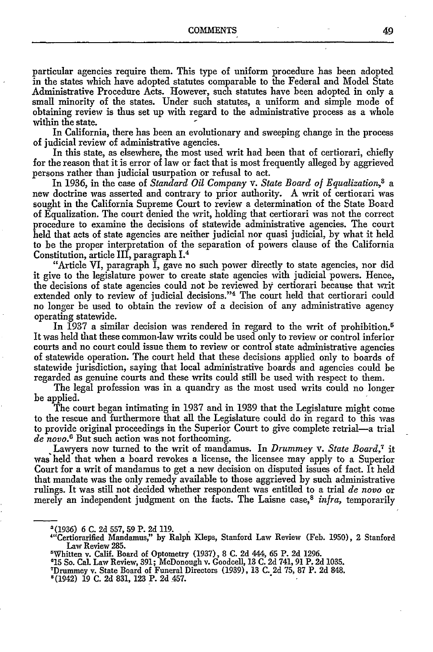particular agencies require them. This type of uniform procedure has been adopted in the states which have adopted statutes comparable to the Federal and Model State Administrative Procedure Acts. However, such statutes have been adopted in only a small minority of the states. Under such statutes, a uniform and simple mode of obtaining review is thus set up with regard to the administrative process as a whole within the state.

In California, there has been an evolutionary and sweeping change in the process of judicial review of administrative agencies.

In this state, as elsewhere, the most used writ had been that of certiorari, chiefly for the reason that it is error of law or fact that is most frequently alleged by aggrieved persons rather than judicial usurpation or refusal to act.

In 1936, in the case of *Standard Oil Company v. State Board of Equalization,8 a* new doctrine was asserted and contrary to prior authority. A writ of certiorari was sought in the California Supreme Court to review a determination of the State Board of Equalization. The court denied the writ, holding that certiorari was not the correct procedure to examine the decisions of statewide administrative agencies. The court held that acts of state agencies are neither judicial nor quasi judicial, by what it held to be the proper interpretation of the separation of powers clause of the California Constitution, article III, paragraph 1.4

"Article VI, paragraph I, gave no such power directly to state agencies, nor did it give to the legislature power to create state agencies with judicial powers. Hence, the decisions of state agencies could not be reviewed **by** certiorari because that writ extended only to review of judicial decisions."<sup>4</sup> The court held that certiorari could no longer be used to obtain the review of a decision of any administrative agency operating statewide.

In 1937 a similar decision was rendered in regard to the writ of prohibition.<sup>5</sup> It was held that these common-law writs could be used only to review or control inferior courts and no court could issue them to review or control state administrative agencies of statewide operation. The court held that these decisions applied only to boards of statewide jurisdiction, saying that local administrative boards and agencies could be regarded as genuine courts and these writs could still be used with respect to them.

The legal profession was in a quandry as the most used writs could no longer be applied.

The court began intimating in 1937 and in 1939 that the Legislature might come to the rescue and furthermore that all the Legislature could do in regard to this was to provide original proceedings in the Superior Court to give complete retrial-a trial *de novo.6* But such action was not forthcoming.

**.**Lawyers now turned to the writ of mandamus. In *Drummey* v. *State Board,7* it was held that when a board revokes a license, the licensee may apply to a Superior Court for a writ of mandamus to get a new decision on disputed issues of fact. It held that mandate was the only remedy available to those aggrieved by such administrative rulings. It was still not decided whether respondent was entitled to a trial *de novo* or merely an independent judgment on the facts. The Laisne case,<sup>8</sup> *infra*, temporarily

<sup>-(1936) 6</sup> **C.** 2d 557, 59 P. 2d 119.

<sup>&</sup>quot;'Certiorarified Mandamus," by Ralph Kleps, Stanford Law Review (Feb. 1950), 2 Stanford Law Review 285.

Whitten v. Calif. Board of Optometry (1937), 8 C. 2d 444, 65 P. 2d 1296.

**<sup>&#</sup>x27;15** So. Cal. Law Review, 391; McDonough v. Goodcell, 13 C. 2d 741, 91 P. 2d 1035.

<sup>&#</sup>x27;Drummey v. State Board of Funeral Directors (1939), 13 C. 2d 75, 87 P. 2d 848.

<sup>8(1942) 19</sup> C. 2d 831, 123 P. 2d 457.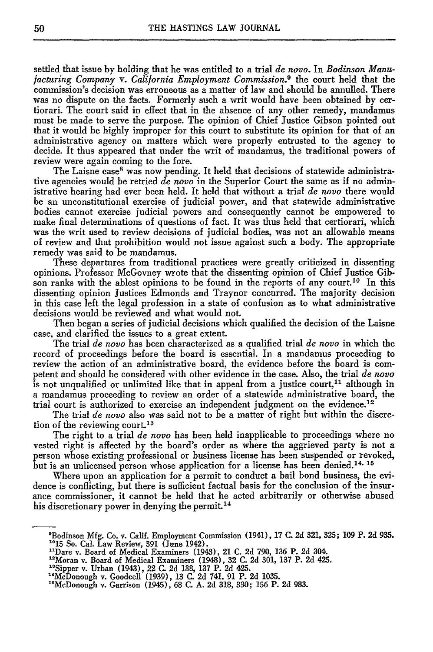settled that issue by holding that he was entitled to a trial *de novo.* In *Bodinson Manufacturing Company v. California Employment Commission.9* the court held that the commission's decision was erroneous as a matter of law and should be annulled. There was no dispute on the facts. Formerly such a writ would have been obtained by certiorari. The court said in effect that in the absence of any other remedy, mandamus must be made to serve the purpose. The opinion of Chief Justice Gibson pointed out that it would be highly improper for this court to substitute its opinion for that of an administrative agency on matters which were properly entrusted to the agency to decide. It thus appeared that under the writ of mandamus, the traditional powers of review were again coming to the fore.

The Laisne case<sup>8</sup> was now pending. It held that decisions of statewide administrative agencies would be retried *de novo* in the Superior Court the same as if no administrative hearing had ever been held. It held that without a trial *de novo* there would be an unconstitutional exercise of judicial power, and that statewide administrative bodies cannot exercise judicial powers and consequently cannot be empowered to make final determinations of questions of fact. It was thus held that certiorari, which was the writ used to review decisions of judicial bodies, was not an allowable means of review and that prohibition would not issue against such a body. The appropriate remedy was said to be mandamus.

These departures from traditional practices were greatly criticized in dissenting opinions. Professor McGovney wrote that the dissenting opinion of Chief Justice Gibson ranks with the ablest opinions to be found in the reports of any court.<sup>10</sup> In this dissenting opinion Justices Edmonds and Traynor concurred. The majority decision in this case left the legal profession in a state of confusion as to what administrative decisions would be reviewed and what would not.

Then began a series of judicial decisions which qualified the decision of the Laisne case, and clarified the issues to a great extent.

The trial *de novo* has been characterized as a qualified trial *de novo* in which the record of proceedings before the board is essential. In a mandamus proceeding to review the action of an administrative board, the evidence before the board is competent and should be considered with other evidence in the case. Also, the trial *de novo* is not unqualified or unlimited like that in appeal from a justice court,<sup>11</sup> although in a mandamus proceeding to review an order of a statewide administrative board, the trial court is authorized to exercise an independent judgment on the evidence.<sup>12</sup>

The trial *de novo* also was said not to be a matter of right but within the discretion of the reviewing court.<sup>13</sup>

The right to a trial *de novo* has been held inapplicable to proceedings where no vested right is affected by the board's order as where the aggrieved party is not a person whose existing professional or business license has been suspended or revoked, but is an unlicensed person whose application for a license has been denied.<sup>14, 15</sup>

Where upon an application for a permit to conduct a bail bond business, the evidence is conflicting, but there is sufficient factual basis for the conclusion of the insurance commissioner, it cannot be held that he acted arbitrarily or otherwise abused his discretionary power in denying the permit.<sup>14</sup>

- " 1Dare v. Board of Medical Examiners (1943), 21 C. 2d 790, 136 P. 2d 304. 1 <sup>2</sup> Moran v. Board of Medical Examiners (1948), 32 C. 2d 301, 137 P. 2d 425.
- 
- 
- <sup>13</sup>Sipper v. Urban (1943), 22 C. 2d 138, 137 P. 2d 425.<br>
<sup>14</sup>McDonough v. Goodcell (1939), 13 C. 2d 741, 91 P. 2d 1035.<br><sup>15</sup>McDonough v. Garrison (1945), 68 C. A. 2d 318, 330; 156 P. 2d 983.

 $\frac{1}{2}$ <br>en usage Co. Co. Co. v. Calif. Employment Co. 2041), 17 C. 2d 321, 325; 109 P. 2d 935. Boumson mig. Co. V. Cam. Employment C.<br>1915 So. Col. Law Review, 201 (June 1942).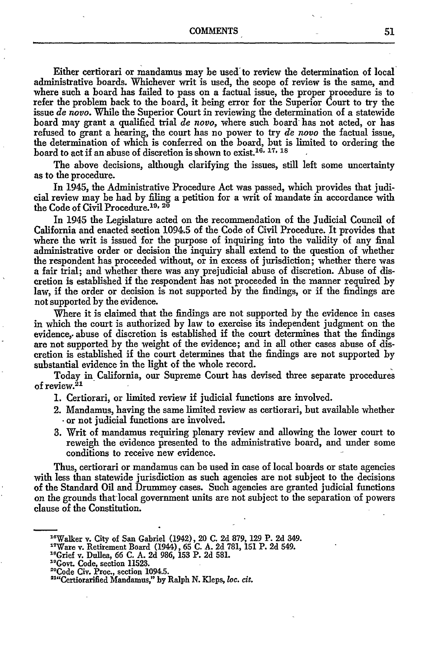COMMENTS 51

Either certiorari or mandamus may be used to review the determination of local administrative boards. Whichever writ is used, the scope of review is the same, and where such a board has failed to pass on a factual issue, the proper procedure is to refer the problem back to the board, it being error for the Superior Court to try the issue *de novo.* While the Superior Court in reviewing the determination of a statewide board may grant a qualified trial *de novo,* where such board has not acted, or has refused to grant a hearing, the court has no power to try *de novo* the factual issue, the determination of which is conferred on the board, but is limited to ordering the board to act if an abuse of discretion is shown to exist.16 ' **17, IS**

The above decisions, although clarifying the issues, still left some uncertainty as to the procedure.

In 1945, the Administrative Procedure Act was passed, which provides that judicial review may be had by filing a petition for a writ of mandate in accordance with the Code of Civil Procedure. <sup>19</sup>**<sup>20</sup>**

In 1945 the Legislature acted on the recommendation of the Judicial Council of California and enacted section 1094.5 of the Code of Civil Procedure. It provides that where the writ is issued for the purpose of inquiring into the validity of any final administrative order or decision the inquiry shall extend to the question of whether the respondent has proceeded without, or in excess of jurisdiction; whether there was a fair trial; and whether there was any prejudicial abuse of discretion. Abuse of discretion is established if the respondent has not proceeded in the manner required by law, if the order or decision is not supported by the findings, or if the findings are not supported by the evidence.

Where it is claimed that the findings are not supported by the evidence in cases in which the court is authorized **by** law to exercise its independent judgment on the evidence,, abuse of discretion is established if the court determines that the findings are not supported by the weight of the evidence; and in all other cases abuse of discretion is established if the court determines that the findings are not supported by substantial evidence in the light of the whole record.

Today in California, our Supreme Court has devised three separate procedures of review.<sup>21</sup>

1. Certiorari, or limited review if judicial functions are involved.

- 2. Mandamus, having the same limited review as certiorari, but available whether **-**or not judicial functions are involved.
- 3. Writ of mandamus requiring plenary review and allowing the lower court to reweigh the evidence presented to the administrative board, and under some conditions to receive new evidence.

Thus, certiorari or mandamus can be used in case of local boards or state agencies with less than statewide jurisdiction as such agencies are not subject to the decisions of the Standard Oil and Drummey cases. Such agencies are granted judicial functions on the grounds that local government units are not subject to the separation of powers clause of the Constitution.

<sup>19</sup>Govt. Code, section 11523.

<sup>&</sup>quot;Walker v. City of San Gabriel (1942), 20 C. 2d 879, **129** P. 2d 349. "'Ware v. Retirement Board (1944), **65** C. A. 2d 781, **151** P. 2d 549. " 8Grief v. Dullea, 66 C. A. 2d 986, **153** P. 2d 581.

<sup>&</sup>quot;Code Civ. Proc., section 1094.5.

<sup>&</sup>quot; Certiorarified Mandamus," by Ralph **N.** Kleps, loc. *cit.*